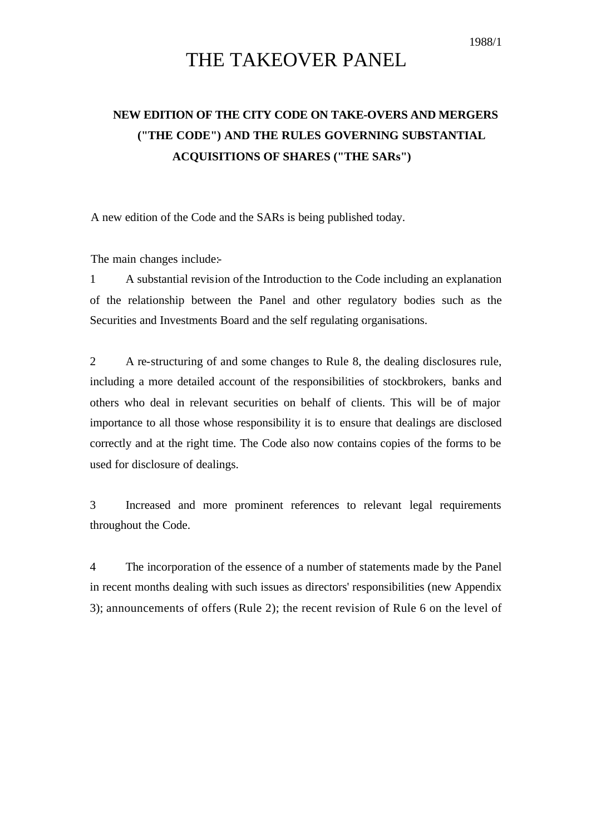## THE TAKEOVER PANEL

## **NEW EDITION OF THE CITY CODE ON TAKE-OVERS AND MERGERS ("THE CODE") AND THE RULES GOVERNING SUBSTANTIAL ACQUISITIONS OF SHARES ("THE SARs")**

A new edition of the Code and the SARs is being published today.

The main changes include:-

1 A substantial revision of the Introduction to the Code including an explanation of the relationship between the Panel and other regulatory bodies such as the Securities and Investments Board and the self regulating organisations.

2 A re-structuring of and some changes to Rule 8, the dealing disclosures rule, including a more detailed account of the responsibilities of stockbrokers, banks and others who deal in relevant securities on behalf of clients. This will be of major importance to all those whose responsibility it is to ensure that dealings are disclosed correctly and at the right time. The Code also now contains copies of the forms to be used for disclosure of dealings.

3 Increased and more prominent references to relevant legal requirements throughout the Code.

4 The incorporation of the essence of a number of statements made by the Panel in recent months dealing with such issues as directors' responsibilities (new Appendix 3); announcements of offers (Rule 2); the recent revision of Rule 6 on the level of